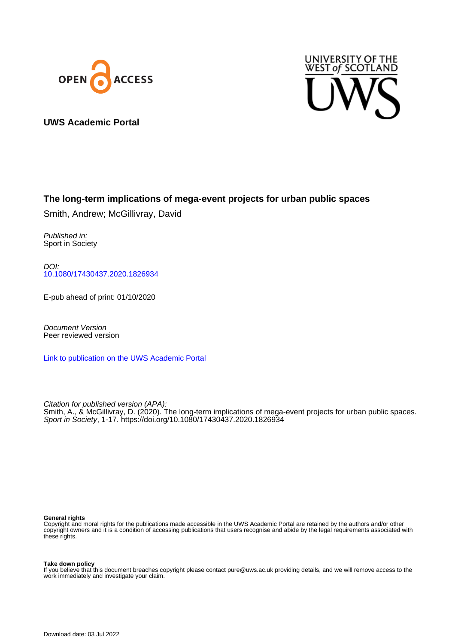



**UWS Academic Portal**

## **The long-term implications of mega-event projects for urban public spaces**

Smith, Andrew; McGillivray, David

Published in: Sport in Society

DOI: [10.1080/17430437.2020.1826934](https://doi.org/10.1080/17430437.2020.1826934)

E-pub ahead of print: 01/10/2020

Document Version Peer reviewed version

[Link to publication on the UWS Academic Portal](https://uws.pure.elsevier.com/en/publications/d095b679-c94b-457f-a6e7-26006dd7d0a6)

Citation for published version (APA): Smith, A., & McGillivray, D. (2020). The long-term implications of mega-event projects for urban public spaces. Sport in Society, 1-17.<https://doi.org/10.1080/17430437.2020.1826934>

#### **General rights**

Copyright and moral rights for the publications made accessible in the UWS Academic Portal are retained by the authors and/or other copyright owners and it is a condition of accessing publications that users recognise and abide by the legal requirements associated with these rights.

#### **Take down policy**

If you believe that this document breaches copyright please contact pure@uws.ac.uk providing details, and we will remove access to the work immediately and investigate your claim.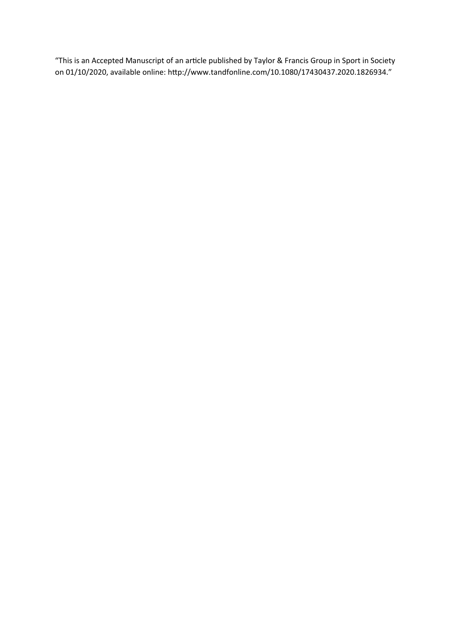"This is an Accepted Manuscript of an article published by Taylor & Francis Group in Sport in Society on 01/10/2020, available online: http://www.tandfonline.com/10.1080/17430437.2020.1826934."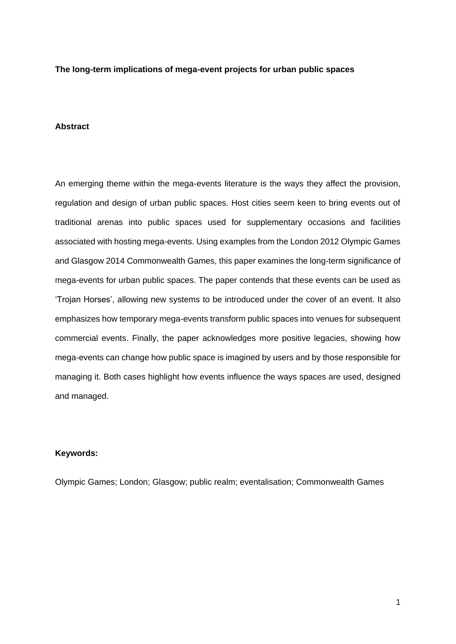**The long-term implications of mega-event projects for urban public spaces**

#### **Abstract**

An emerging theme within the mega-events literature is the ways they affect the provision, regulation and design of urban public spaces. Host cities seem keen to bring events out of traditional arenas into public spaces used for supplementary occasions and facilities associated with hosting mega-events. Using examples from the London 2012 Olympic Games and Glasgow 2014 Commonwealth Games, this paper examines the long-term significance of mega-events for urban public spaces. The paper contends that these events can be used as 'Trojan Horses', allowing new systems to be introduced under the cover of an event. It also emphasizes how temporary mega-events transform public spaces into venues for subsequent commercial events. Finally, the paper acknowledges more positive legacies, showing how mega-events can change how public space is imagined by users and by those responsible for managing it. Both cases highlight how events influence the ways spaces are used, designed and managed.

## **Keywords:**

Olympic Games; London; Glasgow; public realm; eventalisation; Commonwealth Games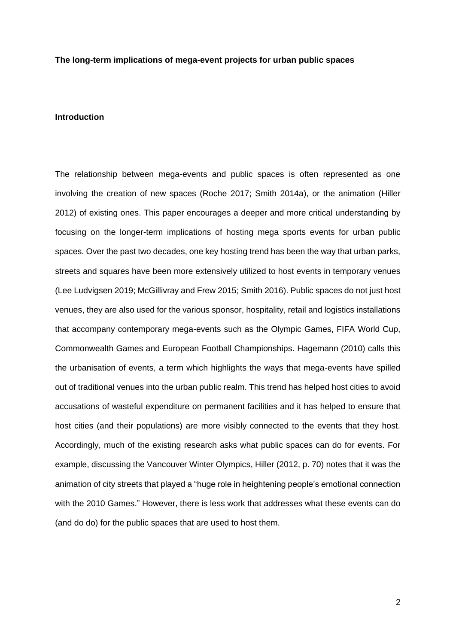#### **The long-term implications of mega-event projects for urban public spaces**

#### **Introduction**

The relationship between mega-events and public spaces is often represented as one involving the creation of new spaces (Roche 2017; Smith 2014a), or the animation (Hiller 2012) of existing ones. This paper encourages a deeper and more critical understanding by focusing on the longer-term implications of hosting mega sports events for urban public spaces. Over the past two decades, one key hosting trend has been the way that urban parks, streets and squares have been more extensively utilized to host events in temporary venues (Lee Ludvigsen 2019; McGillivray and Frew 2015; Smith 2016). Public spaces do not just host venues, they are also used for the various sponsor, hospitality, retail and logistics installations that accompany contemporary mega-events such as the Olympic Games, FIFA World Cup, Commonwealth Games and European Football Championships. Hagemann (2010) calls this the urbanisation of events, a term which highlights the ways that mega-events have spilled out of traditional venues into the urban public realm. This trend has helped host cities to avoid accusations of wasteful expenditure on permanent facilities and it has helped to ensure that host cities (and their populations) are more visibly connected to the events that they host. Accordingly, much of the existing research asks what public spaces can do for events. For example, discussing the Vancouver Winter Olympics, Hiller (2012, p. 70) notes that it was the animation of city streets that played a "huge role in heightening people's emotional connection with the 2010 Games." However, there is less work that addresses what these events can do (and do do) for the public spaces that are used to host them.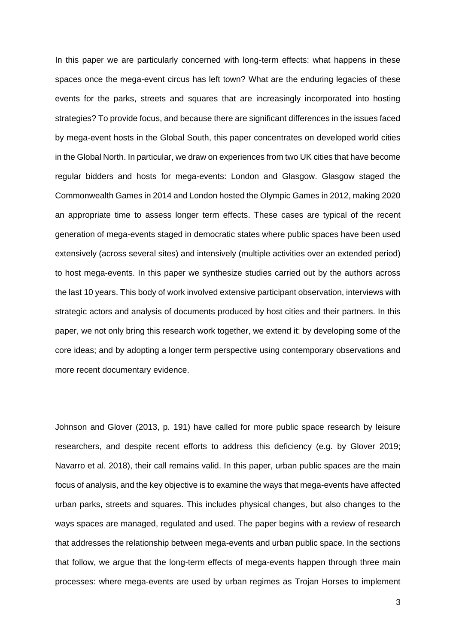In this paper we are particularly concerned with long-term effects: what happens in these spaces once the mega-event circus has left town? What are the enduring legacies of these events for the parks, streets and squares that are increasingly incorporated into hosting strategies? To provide focus, and because there are significant differences in the issues faced by mega-event hosts in the Global South, this paper concentrates on developed world cities in the Global North. In particular, we draw on experiences from two UK cities that have become regular bidders and hosts for mega-events: London and Glasgow. Glasgow staged the Commonwealth Games in 2014 and London hosted the Olympic Games in 2012, making 2020 an appropriate time to assess longer term effects. These cases are typical of the recent generation of mega-events staged in democratic states where public spaces have been used extensively (across several sites) and intensively (multiple activities over an extended period) to host mega-events. In this paper we synthesize studies carried out by the authors across the last 10 years. This body of work involved extensive participant observation, interviews with strategic actors and analysis of documents produced by host cities and their partners. In this paper, we not only bring this research work together, we extend it: by developing some of the core ideas; and by adopting a longer term perspective using contemporary observations and more recent documentary evidence.

Johnson and Glover (2013, p. 191) have called for more public space research by leisure researchers, and despite recent efforts to address this deficiency (e.g. by Glover 2019; Navarro et al. 2018), their call remains valid. In this paper, urban public spaces are the main focus of analysis, and the key objective is to examine the ways that mega-events have affected urban parks, streets and squares. This includes physical changes, but also changes to the ways spaces are managed, regulated and used. The paper begins with a review of research that addresses the relationship between mega-events and urban public space. In the sections that follow, we argue that the long-term effects of mega-events happen through three main processes: where mega-events are used by urban regimes as Trojan Horses to implement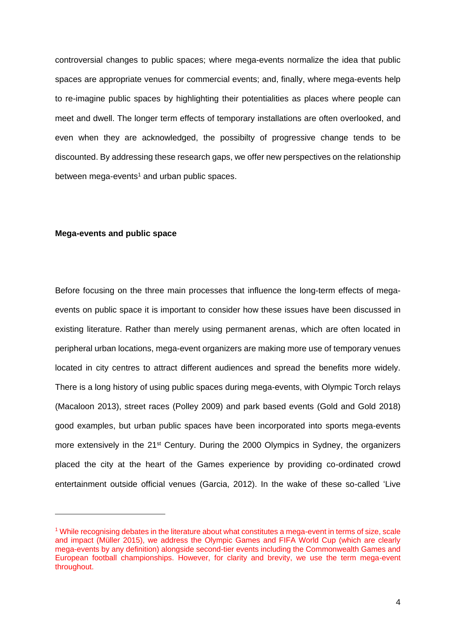controversial changes to public spaces; where mega-events normalize the idea that public spaces are appropriate venues for commercial events; and, finally, where mega-events help to re-imagine public spaces by highlighting their potentialities as places where people can meet and dwell. The longer term effects of temporary installations are often overlooked, and even when they are acknowledged, the possibilty of progressive change tends to be discounted. By addressing these research gaps, we offer new perspectives on the relationship between mega-events<sup>1</sup> and urban public spaces.

#### **Mega-events and public space**

-

Before focusing on the three main processes that influence the long-term effects of megaevents on public space it is important to consider how these issues have been discussed in existing literature. Rather than merely using permanent arenas, which are often located in peripheral urban locations, mega-event organizers are making more use of temporary venues located in city centres to attract different audiences and spread the benefits more widely. There is a long history of using public spaces during mega-events, with Olympic Torch relays (Macaloon 2013), street races (Polley 2009) and park based events (Gold and Gold 2018) good examples, but urban public spaces have been incorporated into sports mega-events more extensively in the 21<sup>st</sup> Century. During the 2000 Olympics in Sydney, the organizers placed the city at the heart of the Games experience by providing co-ordinated crowd entertainment outside official venues (Garcia, 2012). In the wake of these so-called 'Live

<sup>1</sup> While recognising debates in the literature about what constitutes a mega-event in terms of size, scale and impact (Müller 2015), we address the Olympic Games and FIFA World Cup (which are clearly mega-events by any definition) alongside second-tier events including the Commonwealth Games and European football championships. However, for clarity and brevity, we use the term mega-event throughout.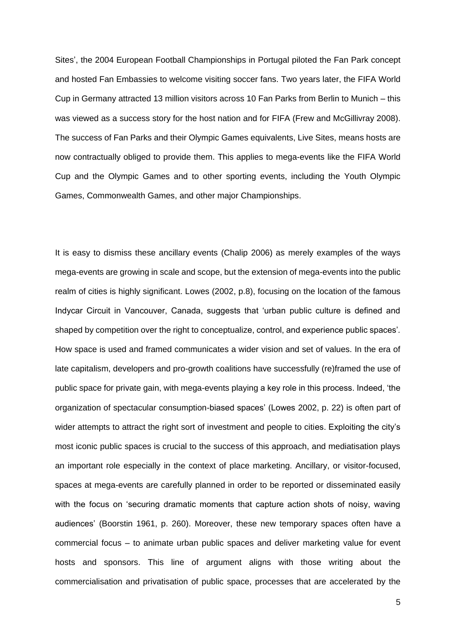Sites', the 2004 European Football Championships in Portugal piloted the Fan Park concept and hosted Fan Embassies to welcome visiting soccer fans. Two years later, the FIFA World Cup in Germany attracted 13 million visitors across 10 Fan Parks from Berlin to Munich – this was viewed as a success story for the host nation and for FIFA (Frew and McGillivray 2008). The success of Fan Parks and their Olympic Games equivalents, Live Sites, means hosts are now contractually obliged to provide them. This applies to mega-events like the FIFA World Cup and the Olympic Games and to other sporting events, including the Youth Olympic Games, Commonwealth Games, and other major Championships.

It is easy to dismiss these ancillary events (Chalip 2006) as merely examples of the ways mega-events are growing in scale and scope, but the extension of mega-events into the public realm of cities is highly significant. Lowes (2002, p.8), focusing on the location of the famous Indycar Circuit in Vancouver, Canada, suggests that 'urban public culture is defined and shaped by competition over the right to conceptualize, control, and experience public spaces'*.*  How space is used and framed communicates a wider vision and set of values. In the era of late capitalism, developers and pro-growth coalitions have successfully (re)framed the use of public space for private gain, with mega-events playing a key role in this process. Indeed, 'the organization of spectacular consumption-biased spaces' (Lowes 2002, p. 22) is often part of wider attempts to attract the right sort of investment and people to cities. Exploiting the city's most iconic public spaces is crucial to the success of this approach, and mediatisation plays an important role especially in the context of place marketing. Ancillary, or visitor-focused, spaces at mega-events are carefully planned in order to be reported or disseminated easily with the focus on 'securing dramatic moments that capture action shots of noisy, waving audiences' (Boorstin 1961, p. 260). Moreover, these new temporary spaces often have a commercial focus – to animate urban public spaces and deliver marketing value for event hosts and sponsors. This line of argument aligns with those writing about the commercialisation and privatisation of public space, processes that are accelerated by the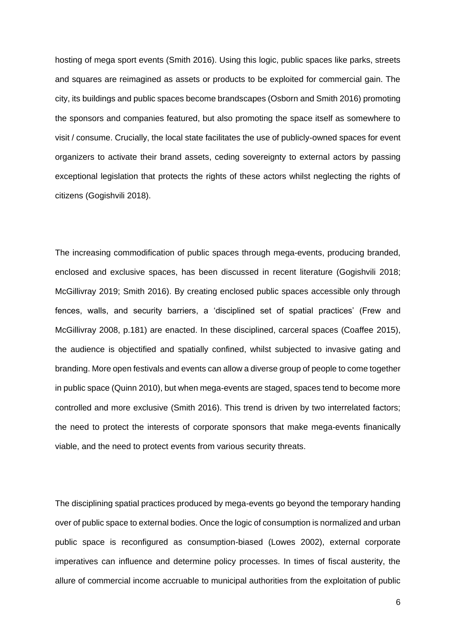hosting of mega sport events (Smith 2016). Using this logic, public spaces like parks, streets and squares are reimagined as assets or products to be exploited for commercial gain. The city, its buildings and public spaces become brandscapes (Osborn and Smith 2016) promoting the sponsors and companies featured, but also promoting the space itself as somewhere to visit / consume. Crucially, the local state facilitates the use of publicly-owned spaces for event organizers to activate their brand assets, ceding sovereignty to external actors by passing exceptional legislation that protects the rights of these actors whilst neglecting the rights of citizens (Gogishvili 2018).

The increasing commodification of public spaces through mega-events, producing branded, enclosed and exclusive spaces, has been discussed in recent literature (Gogishvili 2018; McGillivray 2019; Smith 2016). By creating enclosed public spaces accessible only through fences, walls, and security barriers, a 'disciplined set of spatial practices' (Frew and McGillivray 2008, p.181) are enacted. In these disciplined, carceral spaces (Coaffee 2015), the audience is objectified and spatially confined, whilst subjected to invasive gating and branding. More open festivals and events can allow a diverse group of people to come together in public space (Quinn 2010), but when mega-events are staged, spaces tend to become more controlled and more exclusive (Smith 2016). This trend is driven by two interrelated factors; the need to protect the interests of corporate sponsors that make mega-events finanically viable, and the need to protect events from various security threats.

The disciplining spatial practices produced by mega-events go beyond the temporary handing over of public space to external bodies. Once the logic of consumption is normalized and urban public space is reconfigured as consumption-biased (Lowes 2002), external corporate imperatives can influence and determine policy processes. In times of fiscal austerity, the allure of commercial income accruable to municipal authorities from the exploitation of public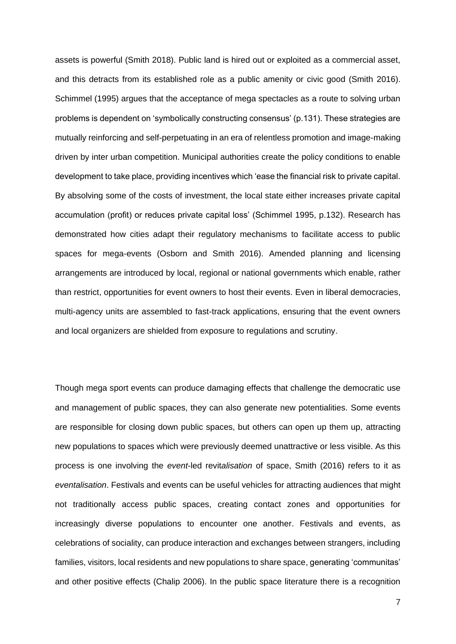assets is powerful (Smith 2018). Public land is hired out or exploited as a commercial asset, and this detracts from its established role as a public amenity or civic good (Smith 2016). Schimmel (1995) argues that the acceptance of mega spectacles as a route to solving urban problems is dependent on 'symbolically constructing consensus' (p.131). These strategies are mutually reinforcing and self-perpetuating in an era of relentless promotion and image-making driven by inter urban competition. Municipal authorities create the policy conditions to enable development to take place, providing incentives which 'ease the financial risk to private capital. By absolving some of the costs of investment, the local state either increases private capital accumulation (profit) or reduces private capital loss' (Schimmel 1995, p.132). Research has demonstrated how cities adapt their regulatory mechanisms to facilitate access to public spaces for mega-events (Osborn and Smith 2016). Amended planning and licensing arrangements are introduced by local, regional or national governments which enable, rather than restrict, opportunities for event owners to host their events. Even in liberal democracies, multi-agency units are assembled to fast-track applications, ensuring that the event owners and local organizers are shielded from exposure to regulations and scrutiny.

Though mega sport events can produce damaging effects that challenge the democratic use and management of public spaces, they can also generate new potentialities. Some events are responsible for closing down public spaces, but others can open up them up, attracting new populations to spaces which were previously deemed unattractive or less visible. As this process is one involving the *event*-led revit*alisation* of space, Smith (2016) refers to it as *eventalisation*. Festivals and events can be useful vehicles for attracting audiences that might not traditionally access public spaces, creating contact zones and opportunities for increasingly diverse populations to encounter one another. Festivals and events, as celebrations of sociality, can produce interaction and exchanges between strangers, including families, visitors, local residents and new populations to share space, generating 'communitas' and other positive effects (Chalip 2006). In the public space literature there is a recognition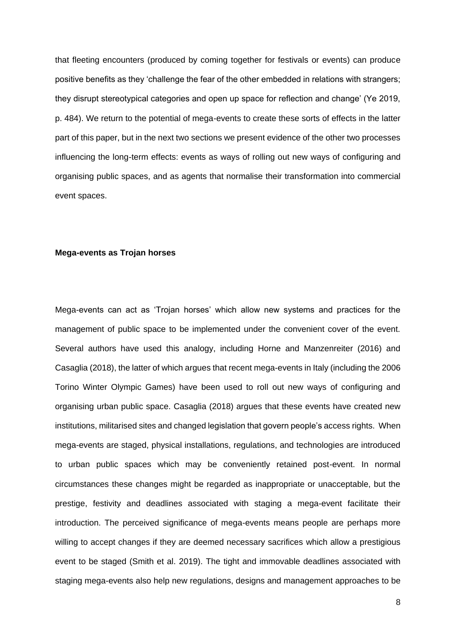that fleeting encounters (produced by coming together for festivals or events) can produce positive benefits as they 'challenge the fear of the other embedded in relations with strangers; they disrupt stereotypical categories and open up space for reflection and change' (Ye 2019, p. 484). We return to the potential of mega-events to create these sorts of effects in the latter part of this paper, but in the next two sections we present evidence of the other two processes influencing the long-term effects: events as ways of rolling out new ways of configuring and organising public spaces, and as agents that normalise their transformation into commercial event spaces.

#### **Mega-events as Trojan horses**

Mega-events can act as 'Trojan horses' which allow new systems and practices for the management of public space to be implemented under the convenient cover of the event. Several authors have used this analogy, including Horne and Manzenreiter (2016) and Casaglia (2018), the latter of which argues that recent mega-events in Italy (including the 2006 Torino Winter Olympic Games) have been used to roll out new ways of configuring and organising urban public space. Casaglia (2018) argues that these events have created new institutions, militarised sites and changed legislation that govern people's access rights. When mega-events are staged, physical installations, regulations, and technologies are introduced to urban public spaces which may be conveniently retained post-event. In normal circumstances these changes might be regarded as inappropriate or unacceptable, but the prestige, festivity and deadlines associated with staging a mega-event facilitate their introduction. The perceived significance of mega-events means people are perhaps more willing to accept changes if they are deemed necessary sacrifices which allow a prestigious event to be staged (Smith et al. 2019). The tight and immovable deadlines associated with staging mega-events also help new regulations, designs and management approaches to be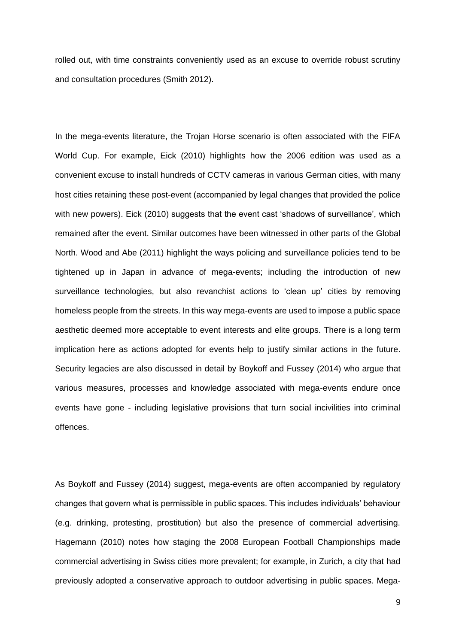rolled out, with time constraints conveniently used as an excuse to override robust scrutiny and consultation procedures (Smith 2012).

In the mega-events literature, the Trojan Horse scenario is often associated with the FIFA World Cup. For example, Eick (2010) highlights how the 2006 edition was used as a convenient excuse to install hundreds of CCTV cameras in various German cities, with many host cities retaining these post-event (accompanied by legal changes that provided the police with new powers). Eick (2010) suggests that the event cast 'shadows of surveillance', which remained after the event. Similar outcomes have been witnessed in other parts of the Global North. Wood and Abe (2011) highlight the ways policing and surveillance policies tend to be tightened up in Japan in advance of mega-events; including the introduction of new surveillance technologies, but also revanchist actions to 'clean up' cities by removing homeless people from the streets. In this way mega-events are used to impose a public space aesthetic deemed more acceptable to event interests and elite groups. There is a long term implication here as actions adopted for events help to justify similar actions in the future. Security legacies are also discussed in detail by Boykoff and Fussey (2014) who argue that various measures, processes and knowledge associated with mega-events endure once events have gone - including legislative provisions that turn social incivilities into criminal offences.

As Boykoff and Fussey (2014) suggest, mega-events are often accompanied by regulatory changes that govern what is permissible in public spaces. This includes individuals' behaviour (e.g. drinking, protesting, prostitution) but also the presence of commercial advertising. Hagemann (2010) notes how staging the 2008 European Football Championships made commercial advertising in Swiss cities more prevalent; for example, in Zurich, a city that had previously adopted a conservative approach to outdoor advertising in public spaces. Mega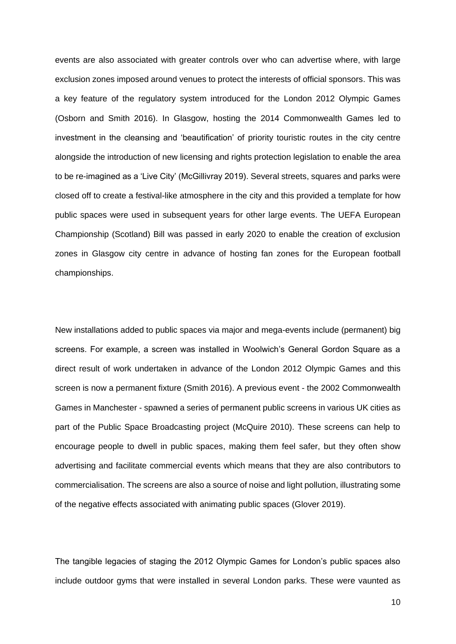events are also associated with greater controls over who can advertise where, with large exclusion zones imposed around venues to protect the interests of official sponsors. This was a key feature of the regulatory system introduced for the London 2012 Olympic Games (Osborn and Smith 2016). In Glasgow, hosting the 2014 Commonwealth Games led to investment in the cleansing and 'beautification' of priority touristic routes in the city centre alongside the introduction of new licensing and rights protection legislation to enable the area to be re-imagined as a 'Live City' (McGillivray 2019). Several streets, squares and parks were closed off to create a festival-like atmosphere in the city and this provided a template for how public spaces were used in subsequent years for other large events. The UEFA European Championship (Scotland) Bill was passed in early 2020 to enable the creation of exclusion zones in Glasgow city centre in advance of hosting fan zones for the European football championships.

New installations added to public spaces via major and mega-events include (permanent) big screens. For example, a screen was installed in Woolwich's General Gordon Square as a direct result of work undertaken in advance of the London 2012 Olympic Games and this screen is now a permanent fixture (Smith 2016). A previous event - the 2002 Commonwealth Games in Manchester - spawned a series of permanent public screens in various UK cities as part of the Public Space Broadcasting project (McQuire 2010). These screens can help to encourage people to dwell in public spaces, making them feel safer, but they often show advertising and facilitate commercial events which means that they are also contributors to commercialisation. The screens are also a source of noise and light pollution, illustrating some of the negative effects associated with animating public spaces (Glover 2019).

The tangible legacies of staging the 2012 Olympic Games for London's public spaces also include outdoor gyms that were installed in several London parks. These were vaunted as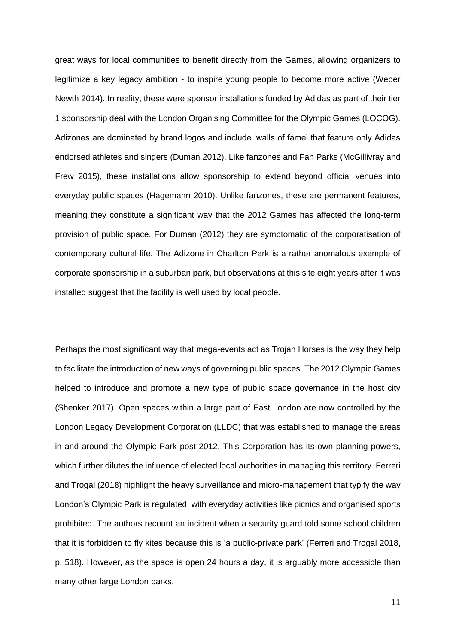great ways for local communities to benefit directly from the Games, allowing organizers to legitimize a key legacy ambition - to inspire young people to become more active (Weber Newth 2014). In reality, these were sponsor installations funded by Adidas as part of their tier 1 sponsorship deal with the London Organising Committee for the Olympic Games (LOCOG). Adizones are dominated by brand logos and include 'walls of fame' that feature only Adidas endorsed athletes and singers (Duman 2012). Like fanzones and Fan Parks (McGillivray and Frew 2015), these installations allow sponsorship to extend beyond official venues into everyday public spaces (Hagemann 2010). Unlike fanzones, these are permanent features, meaning they constitute a significant way that the 2012 Games has affected the long-term provision of public space. For Duman (2012) they are symptomatic of the corporatisation of contemporary cultural life. The Adizone in Charlton Park is a rather anomalous example of corporate sponsorship in a suburban park, but observations at this site eight years after it was installed suggest that the facility is well used by local people.

Perhaps the most significant way that mega-events act as Trojan Horses is the way they help to facilitate the introduction of new ways of governing public spaces. The 2012 Olympic Games helped to introduce and promote a new type of public space governance in the host city (Shenker 2017). Open spaces within a large part of East London are now controlled by the London Legacy Development Corporation (LLDC) that was established to manage the areas in and around the Olympic Park post 2012. This Corporation has its own planning powers, which further dilutes the influence of elected local authorities in managing this territory. Ferreri and Trogal (2018) highlight the heavy surveillance and micro-management that typify the way London's Olympic Park is regulated, with everyday activities like picnics and organised sports prohibited. The authors recount an incident when a security guard told some school children that it is forbidden to fly kites because this is 'a public-private park' (Ferreri and Trogal 2018, p. 518). However, as the space is open 24 hours a day, it is arguably more accessible than many other large London parks.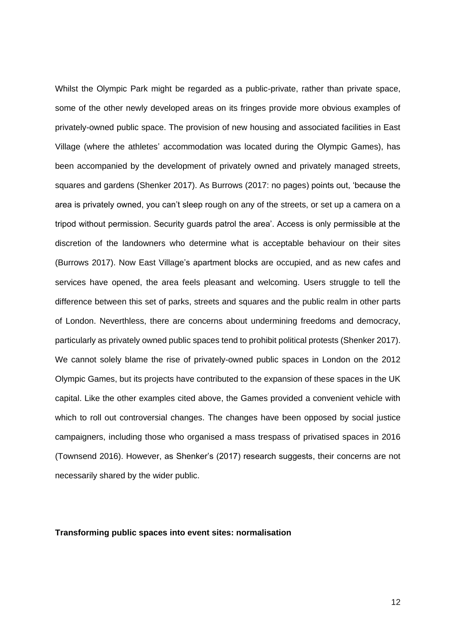Whilst the Olympic Park might be regarded as a public-private, rather than private space, some of the other newly developed areas on its fringes provide more obvious examples of privately-owned public space. The provision of new housing and associated facilities in East Village (where the athletes' accommodation was located during the Olympic Games), has been accompanied by the development of privately owned and privately managed streets, squares and gardens (Shenker 2017). As Burrows (2017: no pages) points out, 'because the area is privately owned, you can't sleep rough on any of the streets, or set up a camera on a tripod without permission. Security guards patrol the area'. Access is only permissible at the discretion of the landowners who determine what is acceptable behaviour on their sites (Burrows 2017). Now East Village's apartment blocks are occupied, and as new cafes and services have opened, the area feels pleasant and welcoming. Users struggle to tell the difference between this set of parks, streets and squares and the public realm in other parts of London. Neverthless, there are concerns about undermining freedoms and democracy, particularly as privately owned public spaces tend to prohibit political protests (Shenker 2017). We cannot solely blame the rise of privately-owned public spaces in London on the 2012 Olympic Games, but its projects have contributed to the expansion of these spaces in the UK capital. Like the other examples cited above, the Games provided a convenient vehicle with which to roll out controversial changes. The changes have been opposed by social justice campaigners, including those who organised a mass trespass of privatised spaces in 2016 (Townsend 2016). However, as Shenker's (2017) research suggests, their concerns are not necessarily shared by the wider public.

### **Transforming public spaces into event sites: normalisation**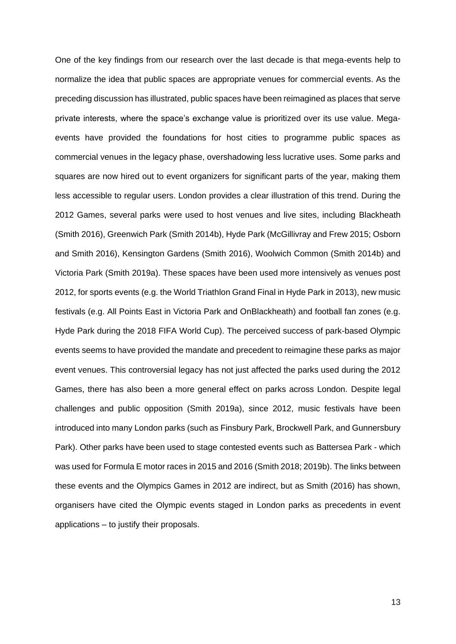One of the key findings from our research over the last decade is that mega-events help to normalize the idea that public spaces are appropriate venues for commercial events. As the preceding discussion has illustrated, public spaces have been reimagined as places that serve private interests, where the space's exchange value is prioritized over its use value. Megaevents have provided the foundations for host cities to programme public spaces as commercial venues in the legacy phase, overshadowing less lucrative uses. Some parks and squares are now hired out to event organizers for significant parts of the year, making them less accessible to regular users. London provides a clear illustration of this trend. During the 2012 Games, several parks were used to host venues and live sites, including Blackheath (Smith 2016), Greenwich Park (Smith 2014b), Hyde Park (McGillivray and Frew 2015; Osborn and Smith 2016), Kensington Gardens (Smith 2016), Woolwich Common (Smith 2014b) and Victoria Park (Smith 2019a). These spaces have been used more intensively as venues post 2012, for sports events (e.g. the World Triathlon Grand Final in Hyde Park in 2013), new music festivals (e.g. All Points East in Victoria Park and OnBlackheath) and football fan zones (e.g. Hyde Park during the 2018 FIFA World Cup). The perceived success of park-based Olympic events seems to have provided the mandate and precedent to reimagine these parks as major event venues. This controversial legacy has not just affected the parks used during the 2012 Games, there has also been a more general effect on parks across London. Despite legal challenges and public opposition (Smith 2019a), since 2012, music festivals have been introduced into many London parks (such as Finsbury Park, Brockwell Park, and Gunnersbury Park). Other parks have been used to stage contested events such as Battersea Park - which was used for Formula E motor races in 2015 and 2016 (Smith 2018; 2019b). The links between these events and the Olympics Games in 2012 are indirect, but as Smith (2016) has shown, organisers have cited the Olympic events staged in London parks as precedents in event applications – to justify their proposals.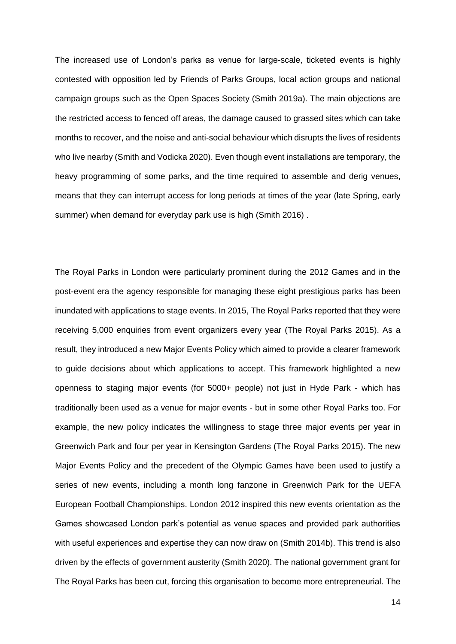The increased use of London's parks as venue for large-scale, ticketed events is highly contested with opposition led by Friends of Parks Groups, local action groups and national campaign groups such as the Open Spaces Society (Smith 2019a). The main objections are the restricted access to fenced off areas, the damage caused to grassed sites which can take months to recover, and the noise and anti-social behaviour which disrupts the lives of residents who live nearby (Smith and Vodicka 2020). Even though event installations are temporary, the heavy programming of some parks, and the time required to assemble and derig venues, means that they can interrupt access for long periods at times of the year (late Spring, early summer) when demand for everyday park use is high (Smith 2016) .

The Royal Parks in London were particularly prominent during the 2012 Games and in the post-event era the agency responsible for managing these eight prestigious parks has been inundated with applications to stage events. In 2015, The Royal Parks reported that they were receiving 5,000 enquiries from event organizers every year (The Royal Parks 2015). As a result, they introduced a new Major Events Policy which aimed to provide a clearer framework to guide decisions about which applications to accept. This framework highlighted a new openness to staging major events (for 5000+ people) not just in Hyde Park - which has traditionally been used as a venue for major events - but in some other Royal Parks too. For example, the new policy indicates the willingness to stage three major events per year in Greenwich Park and four per year in Kensington Gardens (The Royal Parks 2015). The new Major Events Policy and the precedent of the Olympic Games have been used to justify a series of new events, including a month long fanzone in Greenwich Park for the UEFA European Football Championships. London 2012 inspired this new events orientation as the Games showcased London park's potential as venue spaces and provided park authorities with useful experiences and expertise they can now draw on (Smith 2014b). This trend is also driven by the effects of government austerity (Smith 2020). The national government grant for The Royal Parks has been cut, forcing this organisation to become more entrepreneurial. The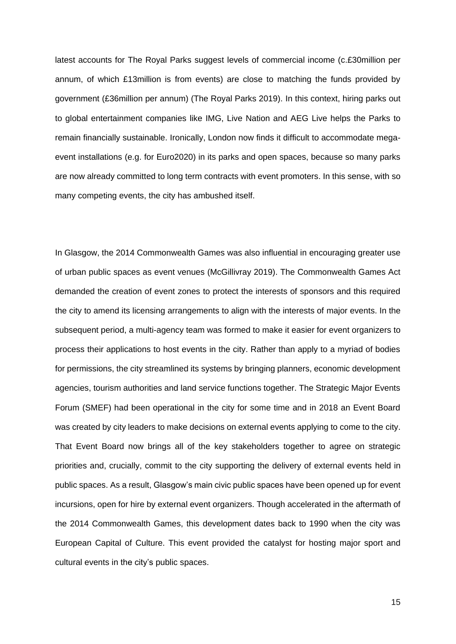latest accounts for The Royal Parks suggest levels of commercial income (c.£30million per annum, of which £13million is from events) are close to matching the funds provided by government (£36million per annum) (The Royal Parks 2019). In this context, hiring parks out to global entertainment companies like IMG, Live Nation and AEG Live helps the Parks to remain financially sustainable. Ironically, London now finds it difficult to accommodate megaevent installations (e.g. for Euro2020) in its parks and open spaces, because so many parks are now already committed to long term contracts with event promoters. In this sense, with so many competing events, the city has ambushed itself.

In Glasgow, the 2014 Commonwealth Games was also influential in encouraging greater use of urban public spaces as event venues (McGillivray 2019). The Commonwealth Games Act demanded the creation of event zones to protect the interests of sponsors and this required the city to amend its licensing arrangements to align with the interests of major events. In the subsequent period, a multi-agency team was formed to make it easier for event organizers to process their applications to host events in the city. Rather than apply to a myriad of bodies for permissions, the city streamlined its systems by bringing planners, economic development agencies, tourism authorities and land service functions together. The Strategic Major Events Forum (SMEF) had been operational in the city for some time and in 2018 an Event Board was created by city leaders to make decisions on external events applying to come to the city. That Event Board now brings all of the key stakeholders together to agree on strategic priorities and, crucially, commit to the city supporting the delivery of external events held in public spaces. As a result, Glasgow's main civic public spaces have been opened up for event incursions, open for hire by external event organizers. Though accelerated in the aftermath of the 2014 Commonwealth Games, this development dates back to 1990 when the city was European Capital of Culture. This event provided the catalyst for hosting major sport and cultural events in the city's public spaces.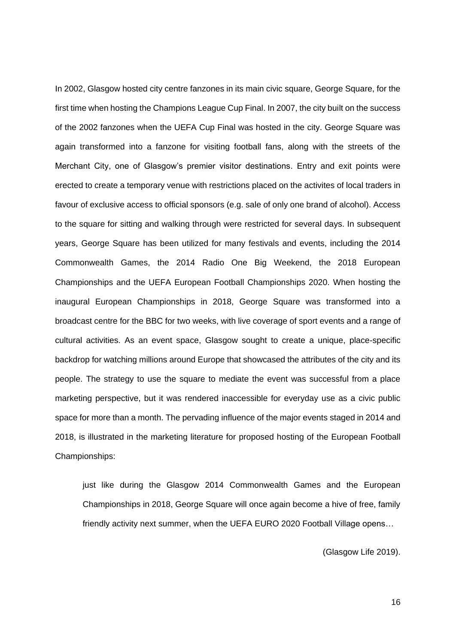In 2002, Glasgow hosted city centre fanzones in its main civic square, George Square, for the first time when hosting the Champions League Cup Final. In 2007, the city built on the success of the 2002 fanzones when the UEFA Cup Final was hosted in the city. George Square was again transformed into a fanzone for visiting football fans, along with the streets of the Merchant City, one of Glasgow's premier visitor destinations. Entry and exit points were erected to create a temporary venue with restrictions placed on the activites of local traders in favour of exclusive access to official sponsors (e.g. sale of only one brand of alcohol). Access to the square for sitting and walking through were restricted for several days. In subsequent years, George Square has been utilized for many festivals and events, including the 2014 Commonwealth Games, the 2014 Radio One Big Weekend, the 2018 European Championships and the UEFA European Football Championships 2020. When hosting the inaugural European Championships in 2018, George Square was transformed into a broadcast centre for the BBC for two weeks, with live coverage of sport events and a range of cultural activities. As an event space, Glasgow sought to create a unique, place-specific backdrop for watching millions around Europe that showcased the attributes of the city and its people. The strategy to use the square to mediate the event was successful from a place marketing perspective, but it was rendered inaccessible for everyday use as a civic public space for more than a month. The pervading influence of the major events staged in 2014 and 2018, is illustrated in the marketing literature for proposed hosting of the European Football Championships:

just like during the Glasgow 2014 Commonwealth Games and the European Championships in 2018, George Square will once again become a hive of free, family friendly activity next summer, when the UEFA EURO 2020 Football Village opens…

(Glasgow Life 2019).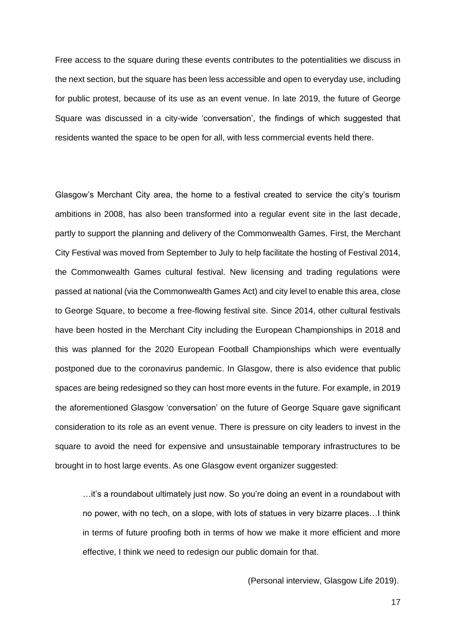Free access to the square during these events contributes to the potentialities we discuss in the next section, but the square has been less accessible and open to everyday use, including for public protest, because of its use as an event venue. In late 2019, the future of George Square was discussed in a city-wide 'conversation', the findings of which suggested that residents wanted the space to be open for all, with less commercial events held there.

Glasgow's Merchant City area, the home to a festival created to service the city's tourism ambitions in 2008, has also been transformed into a regular event site in the last decade, partly to support the planning and delivery of the Commonwealth Games. First, the Merchant City Festival was moved from September to July to help facilitate the hosting of Festival 2014, the Commonwealth Games cultural festival. New licensing and trading regulations were passed at national (via the Commonwealth Games Act) and city level to enable this area, close to George Square, to become a free-flowing festival site. Since 2014, other cultural festivals have been hosted in the Merchant City including the European Championships in 2018 and this was planned for the 2020 European Football Championships which were eventually postponed due to the coronavirus pandemic. In Glasgow, there is also evidence that public spaces are being redesigned so they can host more events in the future. For example, in 2019 the aforementioned Glasgow 'conversation' on the future of George Square gave significant consideration to its role as an event venue. There is pressure on city leaders to invest in the square to avoid the need for expensive and unsustainable temporary infrastructures to be brought in to host large events. As one Glasgow event organizer suggested:

…it's a roundabout ultimately just now. So you're doing an event in a roundabout with no power, with no tech, on a slope, with lots of statues in very bizarre places…I think in terms of future proofing both in terms of how we make it more efficient and more effective, I think we need to redesign our public domain for that.

(Personal interview, Glasgow Life 2019).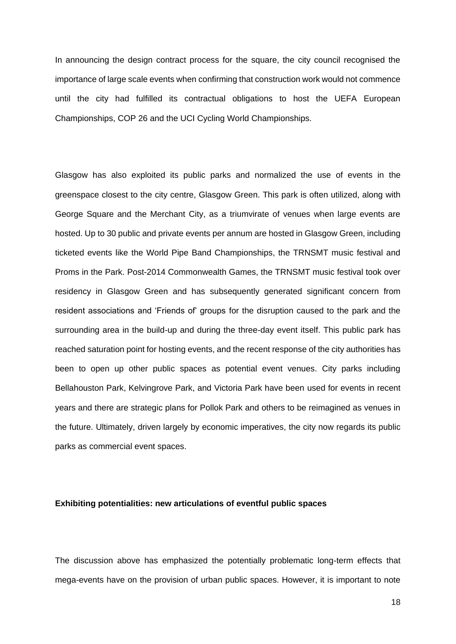In announcing the design contract process for the square, the city council recognised the importance of large scale events when confirming that construction work would not commence until the city had fulfilled its contractual obligations to host the UEFA European Championships, COP 26 and the UCI Cycling World Championships.

Glasgow has also exploited its public parks and normalized the use of events in the greenspace closest to the city centre, Glasgow Green. This park is often utilized, along with George Square and the Merchant City, as a triumvirate of venues when large events are hosted. Up to 30 public and private events per annum are hosted in Glasgow Green, including ticketed events like the World Pipe Band Championships, the TRNSMT music festival and Proms in the Park. Post-2014 Commonwealth Games, the TRNSMT music festival took over residency in Glasgow Green and has subsequently generated significant concern from resident associations and 'Friends of' groups for the disruption caused to the park and the surrounding area in the build-up and during the three-day event itself. This public park has reached saturation point for hosting events, and the recent response of the city authorities has been to open up other public spaces as potential event venues. City parks including Bellahouston Park, Kelvingrove Park, and Victoria Park have been used for events in recent years and there are strategic plans for Pollok Park and others to be reimagined as venues in the future. Ultimately, driven largely by economic imperatives, the city now regards its public parks as commercial event spaces.

### **Exhibiting potentialities: new articulations of eventful public spaces**

The discussion above has emphasized the potentially problematic long-term effects that mega-events have on the provision of urban public spaces. However, it is important to note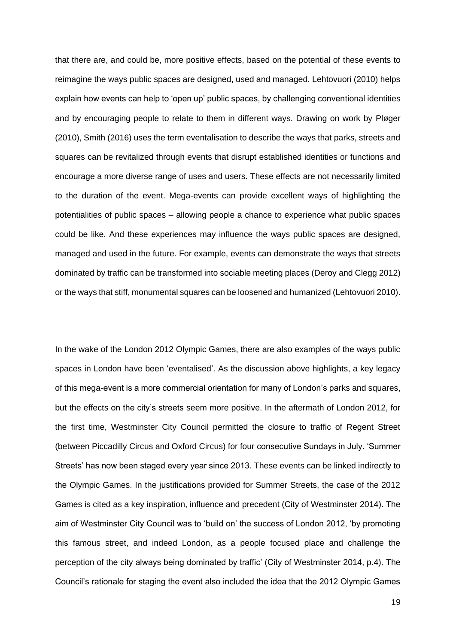that there are, and could be, more positive effects, based on the potential of these events to reimagine the ways public spaces are designed, used and managed. Lehtovuori (2010) helps explain how events can help to 'open up' public spaces, by challenging conventional identities and by encouraging people to relate to them in different ways. Drawing on work by Pløger (2010), Smith (2016) uses the term eventalisation to describe the ways that parks, streets and squares can be revitalized through events that disrupt established identities or functions and encourage a more diverse range of uses and users. These effects are not necessarily limited to the duration of the event. Mega-events can provide excellent ways of highlighting the potentialities of public spaces – allowing people a chance to experience what public spaces could be like. And these experiences may influence the ways public spaces are designed, managed and used in the future. For example, events can demonstrate the ways that streets dominated by traffic can be transformed into sociable meeting places (Deroy and Clegg 2012) or the ways that stiff, monumental squares can be loosened and humanized (Lehtovuori 2010).

In the wake of the London 2012 Olympic Games, there are also examples of the ways public spaces in London have been 'eventalised'. As the discussion above highlights, a key legacy of this mega-event is a more commercial orientation for many of London's parks and squares, but the effects on the city's streets seem more positive. In the aftermath of London 2012, for the first time, Westminster City Council permitted the closure to traffic of Regent Street (between Piccadilly Circus and Oxford Circus) for four consecutive Sundays in July. 'Summer Streets' has now been staged every year since 2013. These events can be linked indirectly to the Olympic Games. In the justifications provided for Summer Streets, the case of the 2012 Games is cited as a key inspiration, influence and precedent (City of Westminster 2014). The aim of Westminster City Council was to 'build on' the success of London 2012, 'by promoting this famous street, and indeed London, as a people focused place and challenge the perception of the city always being dominated by traffic' (City of Westminster 2014, p.4). The Council's rationale for staging the event also included the idea that the 2012 Olympic Games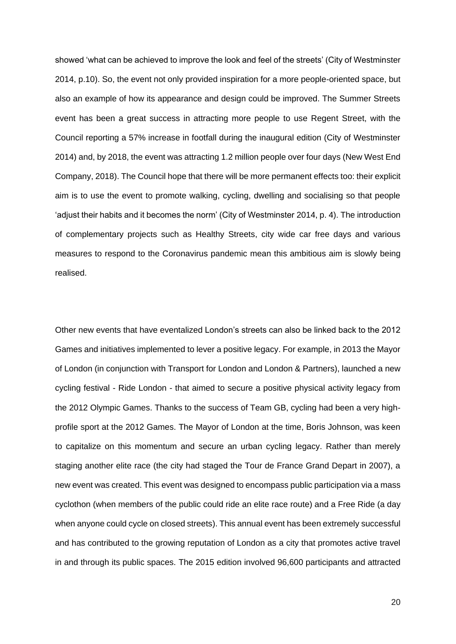showed 'what can be achieved to improve the look and feel of the streets' (City of Westminster 2014, p.10). So, the event not only provided inspiration for a more people-oriented space, but also an example of how its appearance and design could be improved. The Summer Streets event has been a great success in attracting more people to use Regent Street, with the Council reporting a 57% increase in footfall during the inaugural edition (City of Westminster 2014) and, by 2018, the event was attracting 1.2 million people over four days (New West End Company, 2018). The Council hope that there will be more permanent effects too: their explicit aim is to use the event to promote walking, cycling, dwelling and socialising so that people 'adjust their habits and it becomes the norm' (City of Westminster 2014, p. 4). The introduction of complementary projects such as Healthy Streets, city wide car free days and various measures to respond to the Coronavirus pandemic mean this ambitious aim is slowly being realised.

Other new events that have eventalized London's streets can also be linked back to the 2012 Games and initiatives implemented to lever a positive legacy. For example, in 2013 the Mayor of London (in conjunction with Transport for London and London & Partners), launched a new cycling festival - Ride London - that aimed to secure a positive physical activity legacy from the 2012 Olympic Games. Thanks to the success of Team GB, cycling had been a very highprofile sport at the 2012 Games. The Mayor of London at the time, Boris Johnson, was keen to capitalize on this momentum and secure an urban cycling legacy. Rather than merely staging another elite race (the city had staged the Tour de France Grand Depart in 2007), a new event was created. This event was designed to encompass public participation via a mass cyclothon (when members of the public could ride an elite race route) and a Free Ride (a day when anyone could cycle on closed streets). This annual event has been extremely successful and has contributed to the growing reputation of London as a city that promotes active travel in and through its public spaces. The 2015 edition involved 96,600 participants and attracted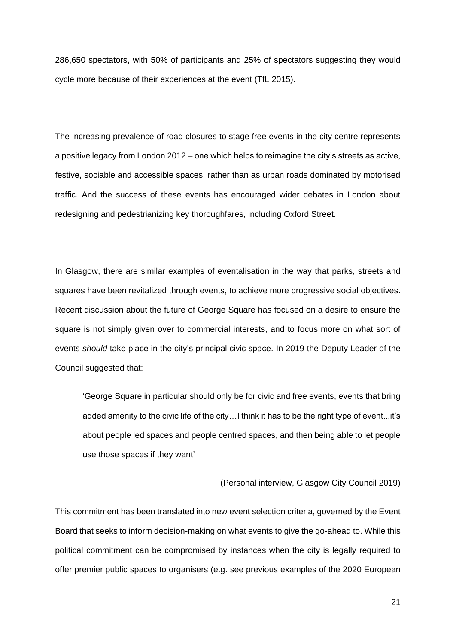286,650 spectators, with 50% of participants and 25% of spectators suggesting they would cycle more because of their experiences at the event (TfL 2015).

The increasing prevalence of road closures to stage free events in the city centre represents a positive legacy from London 2012 – one which helps to reimagine the city's streets as active, festive, sociable and accessible spaces, rather than as urban roads dominated by motorised traffic. And the success of these events has encouraged wider debates in London about redesigning and pedestrianizing key thoroughfares, including Oxford Street.

In Glasgow, there are similar examples of eventalisation in the way that parks, streets and squares have been revitalized through events, to achieve more progressive social objectives. Recent discussion about the future of George Square has focused on a desire to ensure the square is not simply given over to commercial interests, and to focus more on what sort of events *should* take place in the city's principal civic space. In 2019 the Deputy Leader of the Council suggested that:

'George Square in particular should only be for civic and free events, events that bring added amenity to the civic life of the city…I think it has to be the right type of event...it's about people led spaces and people centred spaces, and then being able to let people use those spaces if they want'

(Personal interview, Glasgow City Council 2019)

This commitment has been translated into new event selection criteria, governed by the Event Board that seeks to inform decision-making on what events to give the go-ahead to. While this political commitment can be compromised by instances when the city is legally required to offer premier public spaces to organisers (e.g. see previous examples of the 2020 European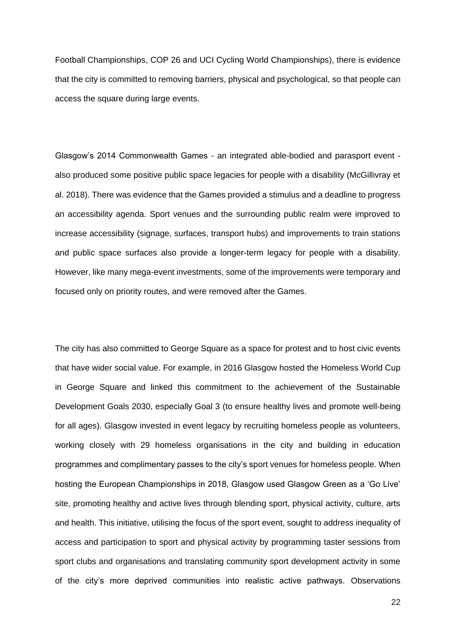Football Championships, COP 26 and UCI Cycling World Championships), there is evidence that the city is committed to removing barriers, physical and psychological, so that people can access the square during large events.

Glasgow's 2014 Commonwealth Games - an integrated able-bodied and parasport event also produced some positive public space legacies for people with a disability (McGillivray et al. 2018). There was evidence that the Games provided a stimulus and a deadline to progress an accessibility agenda. Sport venues and the surrounding public realm were improved to increase accessibility (signage, surfaces, transport hubs) and improvements to train stations and public space surfaces also provide a longer-term legacy for people with a disability. However, like many mega-event investments, some of the improvements were temporary and focused only on priority routes, and were removed after the Games.

The city has also committed to George Square as a space for protest and to host civic events that have wider social value. For example, in 2016 Glasgow hosted the Homeless World Cup in George Square and linked this commitment to the achievement of the Sustainable Development Goals 2030, especially Goal 3 (to ensure healthy lives and promote well-being for all ages). Glasgow invested in event legacy by recruiting homeless people as volunteers, working closely with 29 homeless organisations in the city and building in education programmes and complimentary passes to the city's sport venues for homeless people. When hosting the European Championships in 2018, Glasgow used Glasgow Green as a 'Go Live' site, promoting healthy and active lives through blending sport, physical activity, culture, arts and health. This initiative, utilising the focus of the sport event, sought to address inequality of access and participation to sport and physical activity by programming taster sessions from sport clubs and organisations and translating community sport development activity in some of the city's more deprived communities into realistic active pathways. Observations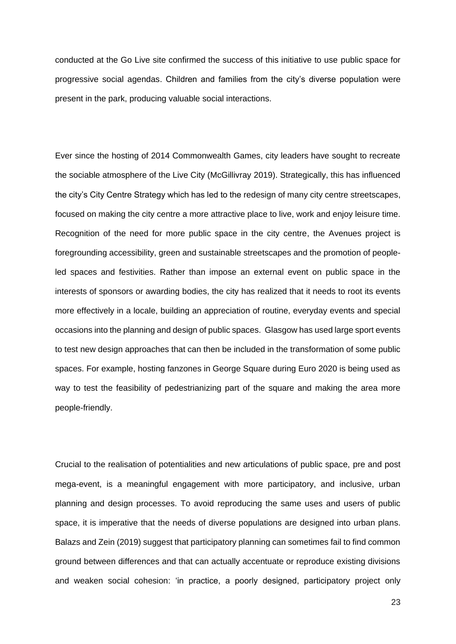conducted at the Go Live site confirmed the success of this initiative to use public space for progressive social agendas. Children and families from the city's diverse population were present in the park, producing valuable social interactions.

Ever since the hosting of 2014 Commonwealth Games, city leaders have sought to recreate the sociable atmosphere of the Live City (McGillivray 2019). Strategically, this has influenced the city's City Centre Strategy which has led to the redesign of many city centre streetscapes, focused on making the city centre a more attractive place to live, work and enjoy leisure time. Recognition of the need for more public space in the city centre, the Avenues project is foregrounding accessibility, green and sustainable streetscapes and the promotion of peopleled spaces and festivities. Rather than impose an external event on public space in the interests of sponsors or awarding bodies, the city has realized that it needs to root its events more effectively in a locale, building an appreciation of routine, everyday events and special occasions into the planning and design of public spaces. Glasgow has used large sport events to test new design approaches that can then be included in the transformation of some public spaces. For example, hosting fanzones in George Square during Euro 2020 is being used as way to test the feasibility of pedestrianizing part of the square and making the area more people-friendly.

Crucial to the realisation of potentialities and new articulations of public space, pre and post mega-event, is a meaningful engagement with more participatory, and inclusive, urban planning and design processes. To avoid reproducing the same uses and users of public space, it is imperative that the needs of diverse populations are designed into urban plans. Balazs and Zein (2019) suggest that participatory planning can sometimes fail to find common ground between differences and that can actually accentuate or reproduce existing divisions and weaken social cohesion: 'in practice, a poorly designed, participatory project only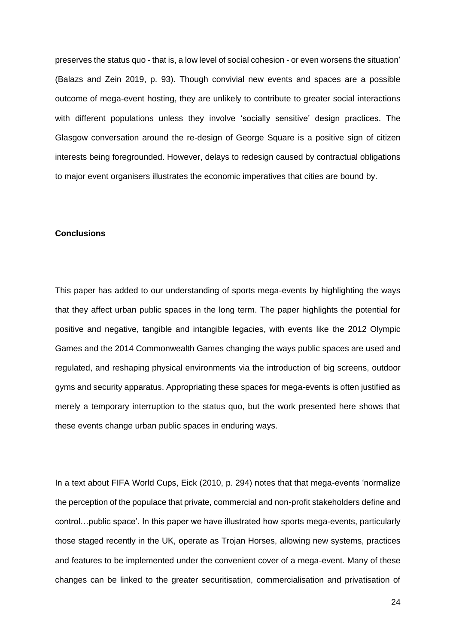preserves the status quo - that is, a low level of social cohesion - or even worsens the situation' (Balazs and Zein 2019, p. 93). Though convivial new events and spaces are a possible outcome of mega-event hosting, they are unlikely to contribute to greater social interactions with different populations unless they involve 'socially sensitive' design practices. The Glasgow conversation around the re-design of George Square is a positive sign of citizen interests being foregrounded. However, delays to redesign caused by contractual obligations to major event organisers illustrates the economic imperatives that cities are bound by.

#### **Conclusions**

This paper has added to our understanding of sports mega-events by highlighting the ways that they affect urban public spaces in the long term. The paper highlights the potential for positive and negative, tangible and intangible legacies, with events like the 2012 Olympic Games and the 2014 Commonwealth Games changing the ways public spaces are used and regulated, and reshaping physical environments via the introduction of big screens, outdoor gyms and security apparatus. Appropriating these spaces for mega-events is often justified as merely a temporary interruption to the status quo, but the work presented here shows that these events change urban public spaces in enduring ways.

In a text about FIFA World Cups, Eick (2010, p. 294) notes that that mega-events 'normalize the perception of the populace that private, commercial and non-profit stakeholders define and control…public space'. In this paper we have illustrated how sports mega-events, particularly those staged recently in the UK, operate as Trojan Horses, allowing new systems, practices and features to be implemented under the convenient cover of a mega-event. Many of these changes can be linked to the greater securitisation, commercialisation and privatisation of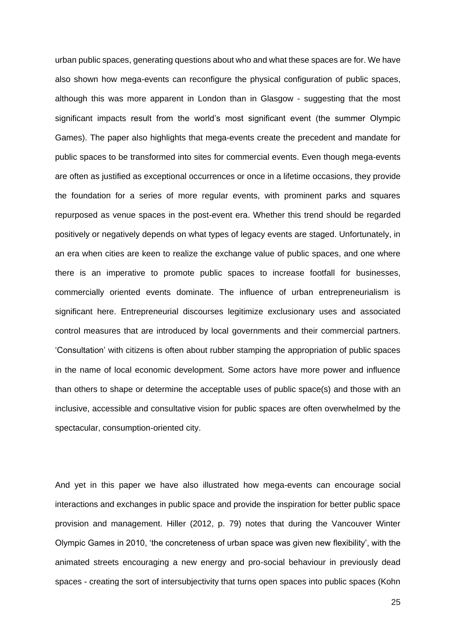urban public spaces, generating questions about who and what these spaces are for. We have also shown how mega-events can reconfigure the physical configuration of public spaces, although this was more apparent in London than in Glasgow - suggesting that the most significant impacts result from the world's most significant event (the summer Olympic Games). The paper also highlights that mega-events create the precedent and mandate for public spaces to be transformed into sites for commercial events. Even though mega-events are often as justified as exceptional occurrences or once in a lifetime occasions, they provide the foundation for a series of more regular events, with prominent parks and squares repurposed as venue spaces in the post-event era. Whether this trend should be regarded positively or negatively depends on what types of legacy events are staged. Unfortunately, in an era when cities are keen to realize the exchange value of public spaces, and one where there is an imperative to promote public spaces to increase footfall for businesses, commercially oriented events dominate. The influence of urban entrepreneurialism is significant here. Entrepreneurial discourses legitimize exclusionary uses and associated control measures that are introduced by local governments and their commercial partners. 'Consultation' with citizens is often about rubber stamping the appropriation of public spaces in the name of local economic development. Some actors have more power and influence than others to shape or determine the acceptable uses of public space(s) and those with an inclusive, accessible and consultative vision for public spaces are often overwhelmed by the spectacular, consumption-oriented city.

And yet in this paper we have also illustrated how mega-events can encourage social interactions and exchanges in public space and provide the inspiration for better public space provision and management. Hiller (2012, p. 79) notes that during the Vancouver Winter Olympic Games in 2010, 'the concreteness of urban space was given new flexibility', with the animated streets encouraging a new energy and pro-social behaviour in previously dead spaces - creating the sort of intersubjectivity that turns open spaces into public spaces (Kohn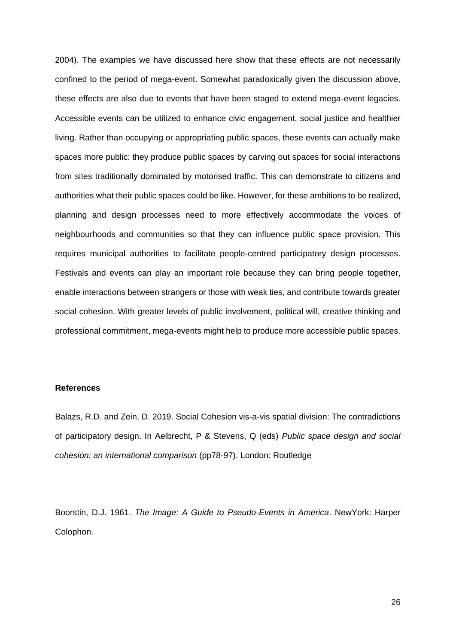2004). The examples we have discussed here show that these effects are not necessarily confined to the period of mega-event. Somewhat paradoxically given the discussion above, these effects are also due to events that have been staged to extend mega-event legacies. Accessible events can be utilized to enhance civic engagement, social justice and healthier living. Rather than occupying or appropriating public spaces, these events can actually make spaces more public: they produce public spaces by carving out spaces for social interactions from sites traditionally dominated by motorised traffic. This can demonstrate to citizens and authorities what their public spaces could be like. However, for these ambitions to be realized, planning and design processes need to more effectively accommodate the voices of neighbourhoods and communities so that they can influence public space provision. This requires municipal authorities to facilitate people-centred participatory design processes. Festivals and events can play an important role because they can bring people together, enable interactions between strangers or those with weak ties, and contribute towards greater social cohesion. With greater levels of public involvement, political will, creative thinking and professional commitment, mega-events might help to produce more accessible public spaces.

#### **References**

Balazs, R.D. and Zein, D. 2019. Social Cohesion vis-a-vis spatial division: The contradictions of participatory design. In Aelbrecht, P & Stevens, Q (eds) *Public space design and social cohesion: an international comparison* (pp78-97). London: Routledge

Boorstin, D.J. 1961. *The Image: A Guide to Pseudo-Events in America*. NewYork: Harper Colophon.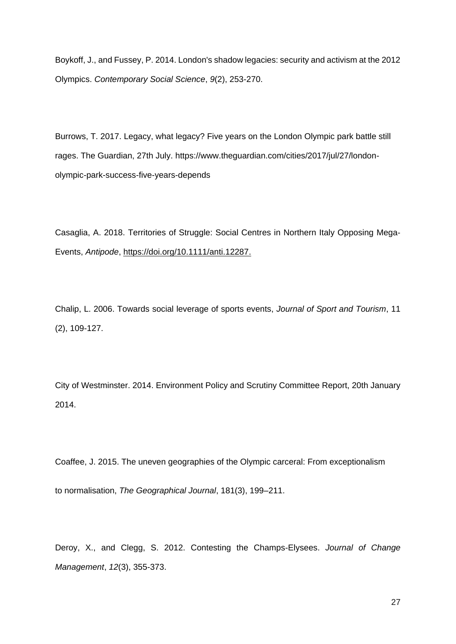Boykoff, J., and Fussey, P. 2014. London's shadow legacies: security and activism at the 2012 Olympics. *Contemporary Social Science*, *9*(2), 253-270.

Burrows, T. 2017. Legacy, what legacy? Five years on the London Olympic park battle still rages. The Guardian, 27th July. [https://www.theguardian.com/cities/2017/jul/27/london](https://www.theguardian.com/cities/2017/jul/27/london-olympic-park-success-five-years-depends)[olympic-park-success-five-years-depends](https://www.theguardian.com/cities/2017/jul/27/london-olympic-park-success-five-years-depends)

Casaglia, A. 2018. Territories of Struggle: Social Centres in Northern Italy Opposing Mega‐ Events, *Antipode*, [https://doi.org/10.1111/anti.12287.](https://doi.org/10.1111/anti.12287)

Chalip, L. 2006. Towards social leverage of sports events, *Journal of Sport and Tourism*, 11 (2), 109-127.

City of Westminster. 2014. Environment Policy and Scrutiny Committee Report, 20th January 2014.

Coaffee, J. 2015. The uneven geographies of the Olympic carceral: From exceptionalism to normalisation, *The Geographical Journal*, 181(3), 199–211.

Deroy, X., and Clegg, S. 2012. Contesting the Champs-Elysees. *Journal of Change Management*, *12*(3), 355-373.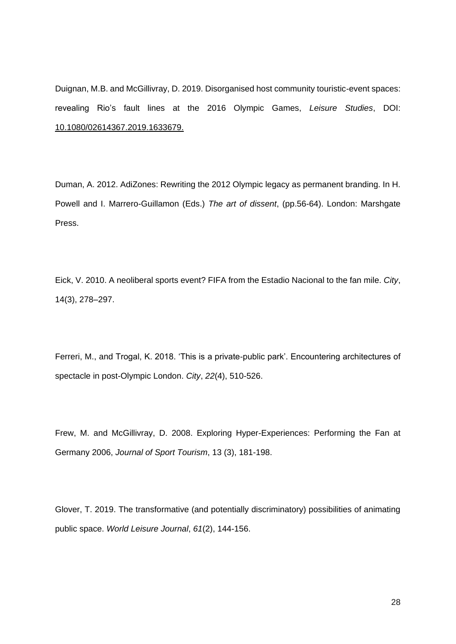Duignan, M.B. and McGillivray, D. 2019. Disorganised host community touristic-event spaces: revealing Rio's fault lines at the 2016 Olympic Games, *Leisure Studies*, DOI[:](https://www.tandfonline.com/doi/full/10.1080/02614367.2019.1633679) [10.1080/02614367.2019.1633679.](https://www.tandfonline.com/doi/full/10.1080/02614367.2019.1633679)

Duman, A. 2012. AdiZones: Rewriting the 2012 Olympic legacy as permanent branding. In H. Powell and I. Marrero-Guillamon (Eds.) *The art of dissent*, (pp.56-64). London: Marshgate Press.

Eick, V. 2010. A neoliberal sports event? FIFA from the Estadio Nacional to the fan mile. *City*, 14(3), 278–297.

Ferreri, M., and Trogal, K. 2018. 'This is a private-public park'. Encountering architectures of spectacle in post-Olympic London. *City*, *22*(4), 510-526.

Frew, M. and McGillivray, D. 2008. Exploring Hyper-Experiences: Performing the Fan at Germany 2006, *Journal of Sport Tourism*, 13 (3), 181-198.

Glover, T. 2019. The transformative (and potentially discriminatory) possibilities of animating public space. *World Leisure Journal*, *61*(2), 144-156.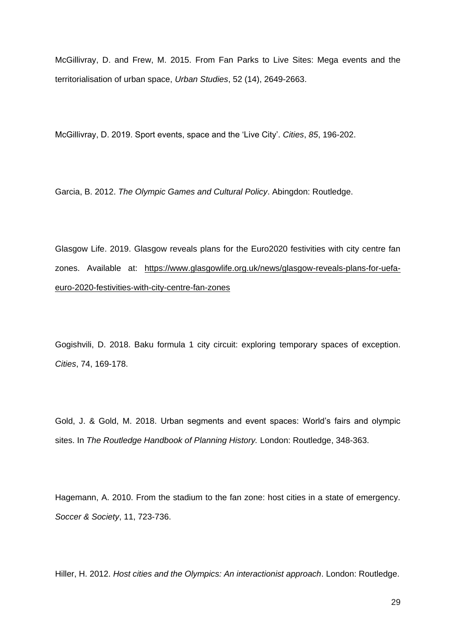McGillivray, D. and Frew, M. 2015. From Fan Parks to Live Sites: Mega events and the territorialisation of urban space, *Urban Studies*, 52 (14), 2649-2663.

McGillivray, D. 2019. Sport events, space and the 'Live City'. *Cities*, *85*, 196-202.

Garcia, B. 2012. *The Olympic Games and Cultural Policy*. Abingdon: Routledge.

Glasgow Life. 2019. Glasgow reveals plans for the Euro2020 festivities with city centre fan zones. Available at: [https://www.glasgowlife.org.uk/news/glasgow-reveals-plans-for-uefa](https://www.glasgowlife.org.uk/news/glasgow-reveals-plans-for-uefa-euro-2020-festivities-with-city-centre-fan-zones)[euro-2020-festivities-with-city-centre-fan-zones](https://www.glasgowlife.org.uk/news/glasgow-reveals-plans-for-uefa-euro-2020-festivities-with-city-centre-fan-zones)

Gogishvili, D. 2018. Baku formula 1 city circuit: exploring temporary spaces of exception. *Cities*, 74, 169-178.

Gold, J. & Gold, M. 2018. Urban segments and event spaces: World's fairs and olympic sites. In *The Routledge Handbook of Planning History.* London: Routledge, 348-363.

Hagemann, A. 2010. From the stadium to the fan zone: host cities in a state of emergency. *Soccer & Society*, 11, 723-736.

Hiller, H. 2012. *Host cities and the Olympics: An interactionist approach*. London: Routledge.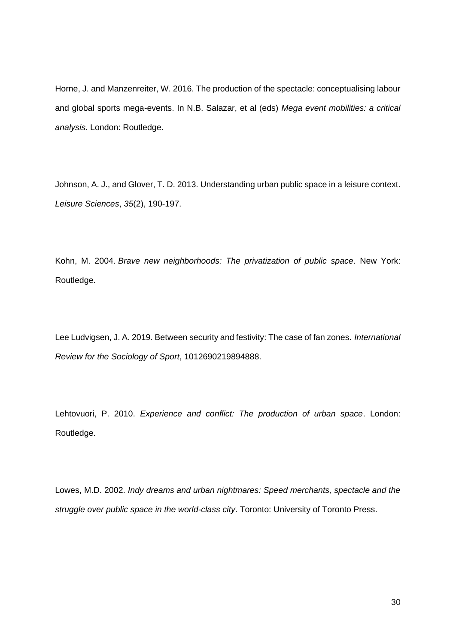Horne, J. and Manzenreiter, W. 2016. The production of the spectacle: conceptualising labour and global sports mega-events. In N.B. Salazar, et al (eds) *Mega event mobilities: a critical analysis*. London: Routledge.

Johnson, A. J., and Glover, T. D. 2013. Understanding urban public space in a leisure context. *Leisure Sciences*, *35*(2), 190-197.

Kohn, M. 2004. *Brave new neighborhoods: The privatization of public space*. New York: Routledge.

Lee Ludvigsen, J. A. 2019. Between security and festivity: The case of fan zones. *International Review for the Sociology of Sport*, 1012690219894888.

Lehtovuori, P. 2010. *Experience and conflict: The production of urban space*. London: Routledge.

Lowes, M.D. 2002. *Indy dreams and urban nightmares: Speed merchants, spectacle and the struggle over public space in the world-class city*. Toronto: University of Toronto Press.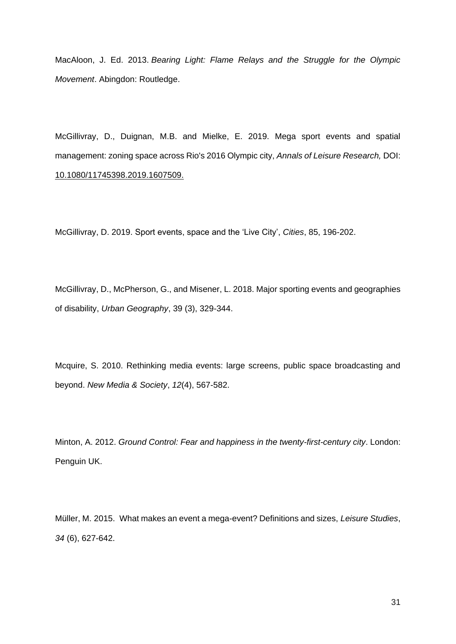MacAloon, J. Ed. 2013. *Bearing Light: Flame Relays and the Struggle for the Olympic Movement*. Abingdon: Routledge.

McGillivray, D., Duignan, M.B. and Mielke, E. 2019. Mega sport events and spatial management: zoning space across Rio's 2016 Olympic city, *Annals of Leisure Research,* DOI[:](https://www.tandfonline.com/doi/full/10.1080/11745398.2019.1607509) [10.1080/11745398.2019.1607509.](https://www.tandfonline.com/doi/full/10.1080/11745398.2019.1607509)

McGillivray, D. 2019. Sport events, space and the 'Live City', *Cities*, 85, 196-202.

McGillivray, D., McPherson, G., and Misener, L. 2018. Major sporting events and geographies of disability, *Urban Geography*, 39 (3), 329-344.

Mcquire, S. 2010. Rethinking media events: large screens, public space broadcasting and beyond. *New Media & Society*, *12*(4), 567-582.

Minton, A. 2012. *Ground Control: Fear and happiness in the twenty-first-century city*. London: Penguin UK.

Müller, M. 2015. What makes an event a mega-event? Definitions and sizes, *Leisure Studies*, *34* (6), 627-642.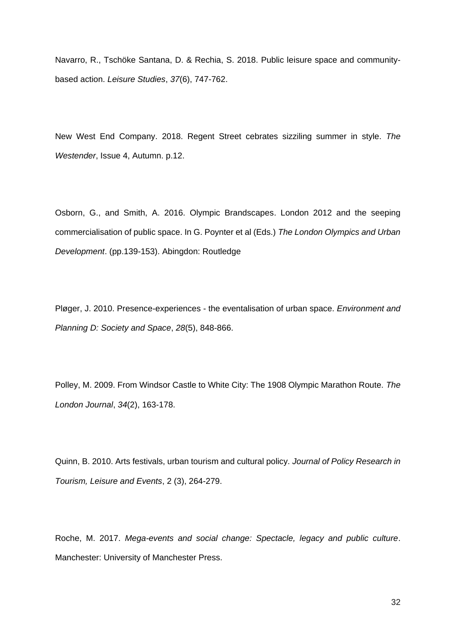Navarro, R., Tschöke Santana, D. & Rechia, S. 2018. Public leisure space and communitybased action. *Leisure Studies*, *37*(6), 747-762.

New West End Company. 2018. Regent Street cebrates sizziling summer in style. *The Westender*, Issue 4, Autumn. p.12.

Osborn, G., and Smith, A. 2016. Olympic Brandscapes. London 2012 and the seeping commercialisation of public space. In G. Poynter et al (Eds.) *The London Olympics and Urban Development*. (pp.139-153). Abingdon: Routledge

Pløger, J. 2010. Presence-experiences - the eventalisation of urban space. *Environment and Planning D: Society and Space*, *28*(5), 848-866.

Polley, M. 2009. From Windsor Castle to White City: The 1908 Olympic Marathon Route. *The London Journal*, *34*(2), 163-178.

Quinn, B. 2010. Arts festivals, urban tourism and cultural policy. *Journal of Policy Research in Tourism, Leisure and Events*, 2 (3), 264-279.

Roche, M. 2017. *Mega-events and social change: Spectacle, legacy and public culture*. Manchester: University of Manchester Press.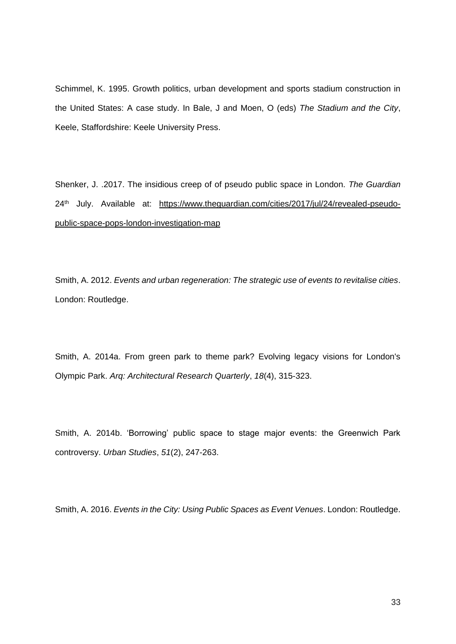Schimmel, K. 1995. Growth politics, urban development and sports stadium construction in the United States: A case study. In Bale, J and Moen, O (eds) *The Stadium and the City*, Keele, Staffordshire: Keele University Press.

Shenker, J. .2017. The insidious creep of of pseudo public space in London. *The Guardian* 24th July. Available at: [https://www.theguardian.com/cities/2017/jul/24/revealed-pseudo](https://www.theguardian.com/cities/2017/jul/24/revealed-pseudo-public-space-pops-london-investigation-map)[public-space-pops-london-investigation-map](https://www.theguardian.com/cities/2017/jul/24/revealed-pseudo-public-space-pops-london-investigation-map)

Smith, A. 2012. *Events and urban regeneration: The strategic use of events to revitalise cities*. London: Routledge.

Smith, A. 2014a. From green park to theme park? Evolving legacy visions for London's Olympic Park. *Arq: Architectural Research Quarterly*, *18*(4), 315-323.

Smith, A. 2014b. 'Borrowing' public space to stage major events: the Greenwich Park controversy. *Urban Studies*, *51*(2), 247-263.

Smith, A. 2016. *Events in the City: Using Public Spaces as Event Venues*. London: Routledge.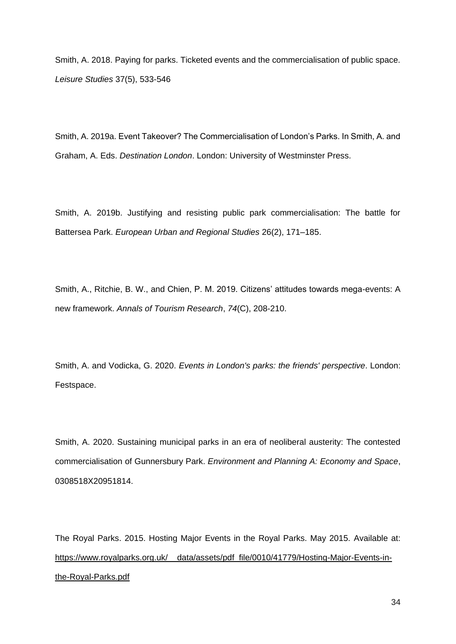Smith, A. 2018. Paying for parks. Ticketed events and the commercialisation of public space. *Leisure Studies* 37(5), 533-546

Smith, A. 2019a. Event Takeover? The Commercialisation of London's Parks. In Smith, A. and Graham, A. Eds. *Destination London*. London: University of Westminster Press.

Smith, A. 2019b. Justifying and resisting public park commercialisation: The battle for Battersea Park. *European Urban and Regional Studies* 26(2), 171–185.

Smith, A., Ritchie, B. W., and Chien, P. M. 2019. Citizens' attitudes towards mega-events: A new framework. *Annals of Tourism Research*, *74*(C), 208-210.

Smith, A. and Vodicka, G. 2020. *Events in London's parks: the friends' perspective*. London: Festspace.

Smith, A. 2020. Sustaining municipal parks in an era of neoliberal austerity: The contested commercialisation of Gunnersbury Park. *Environment and Planning A: Economy and Space*, 0308518X20951814.

The Royal Parks. 2015. Hosting Major Events in the Royal Parks. May 2015. Available at: https://www.royalparks.org.uk/ data/assets/pdf file/0010/41779/Hosting-Major-Events-in[the-Royal-Parks.pdf](https://www.royalparks.org.uk/__data/assets/pdf_file/0010/41779/Hosting-Major-Events-in-the-Royal-Parks.pdf)